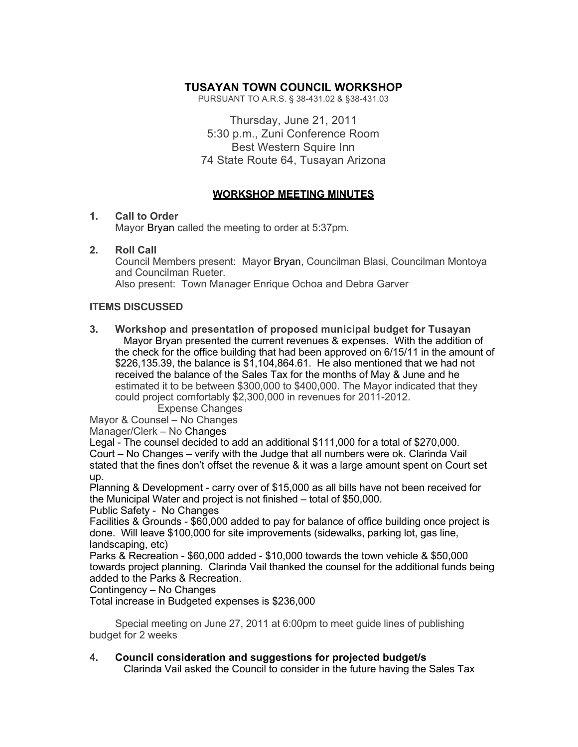# **TUSAYAN TOWN COUNCIL WORKSHOP**

PURSUANT TO A.R.S. § 38-431.02 & §38-431.03

Thursday, June 21, 2011 5:30 p.m., Zuni Conference Room Best Western Squire Inn 74 State Route 64, Tusayan Arizona

## **WORKSHOP MEETING MINUTES**

### **1. Call to Order**

Mayor Bryan called the meeting to order at 5:37pm.

### **2. Roll Call**

Council Members present: Mayor Bryan, Councilman Blasi, Councilman Montoya and Councilman Rueter.

Also present: Town Manager Enrique Ochoa and Debra Garver

### **ITEMS DISCUSSED**

**3. Workshop and presentation of proposed municipal budget for Tusayan** Mayor Bryan presented the current revenues & expenses. With the addition of the check for the office building that had been approved on 6/15/11 in the amount of \$226,135.39, the balance is \$1,104,864.61. He also mentioned that we had not received the balance of the Sales Tax for the months of May & June and he estimated it to be between \$300,000 to \$400,000. The Mayor indicated that they could project comfortably \$2,300,000 in revenues for 2011-2012.

Expense Changes

Mayor & Counsel – No Changes

Manager/Clerk – No Changes

Legal - The counsel decided to add an additional \$111,000 for a total of \$270,000. Court – No Changes – verify with the Judge that all numbers were ok. Clarinda Vail stated that the fines don't offset the revenue & it was a large amount spent on Court set up.

Planning & Development - carry over of \$15,000 as all bills have not been received for the Municipal Water and project is not finished – total of \$50,000.

Public Safety - No Changes

Facilities & Grounds - \$60,000 added to pay for balance of office building once project is done. Will leave \$100,000 for site improvements (sidewalks, parking lot, gas line, landscaping, etc)

Parks & Recreation - \$60,000 added - \$10,000 towards the town vehicle & \$50,000 towards project planning. Clarinda Vail thanked the counsel for the additional funds being added to the Parks & Recreation.

Contingency – No Changes

Total increase in Budgeted expenses is \$236,000

Special meeting on June 27, 2011 at 6:00pm to meet guide lines of publishing budget for 2 weeks

### **4. Council consideration and suggestions for projected budget/s**

Clarinda Vail asked the Council to consider in the future having the Sales Tax